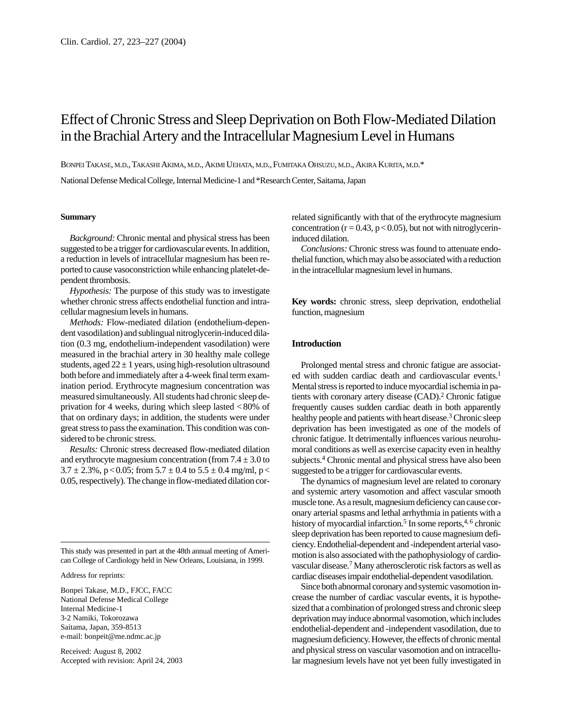# Effect of Chronic Stress and Sleep Deprivation on Both Flow-Mediated Dilation in the Brachial Artery and the Intracellular Magnesium Level in Humans

BONPEITAKASE, M.D., TAKASHI AKIMA, M.D., AKIMI UEHATA, M.D., FUMITAKA OHSUZU, M.D., AKIRA KURITA, M.D.\*

National Defense Medical College, Internal Medicine-1 and \*Research Center, Saitama, Japan

### **Summary**

*Background:* Chronic mental and physical stress has been suggested to be a trigger for cardiovascular events. In addition, a reduction in levels of intracellular magnesium has been reported to cause vasoconstriction while enhancing platelet-dependent thrombosis.

*Hypothesis:* The purpose of this study was to investigate whether chronic stress affects endothelial function and intracellular magnesium levels in humans.

*Methods:* Flow-mediated dilation (endothelium-dependent vasodilation) and sublingual nitroglycerin-induced dilation (0.3 mg, endothelium-independent vasodilation) were measured in the brachial artery in 30 healthy male college students, aged  $22 \pm 1$  years, using high-resolution ultrasound both before and immediately after a 4-week final term examination period. Erythrocyte magnesium concentration was measured simultaneously. All students had chronic sleep deprivation for 4 weeks, during which sleep lasted < 80% of that on ordinary days; in addition, the students were under great stress to pass the examination. This condition was considered to be chronic stress.

*Results:* Chronic stress decreased flow-mediated dilation and erythrocyte magnesium concentration (from  $7.4 \pm 3.0$  to  $3.7 \pm 2.3\%$ , p < 0.05; from  $5.7 \pm 0.4$  to  $5.5 \pm 0.4$  mg/ml, p < 0.05, respectively). The change in flow-mediated dilation cor-

This study was presented in part at the 48th annual meeting of American College of Cardiology held in New Orleans, Louisiana, in 1999.

Address for reprints:

Bonpei Takase, M.D., FJCC, FACC National Defense Medical College Internal Medicine-1 3-2 Namiki, Tokorozawa Saitama, Japan, 359-8513 e-mail: bonpeit@me.ndmc.ac.jp

Received: August 8, 2002 Accepted with revision: April 24, 2003 related significantly with that of the erythrocyte magnesium concentration ( $r = 0.43$ ,  $p < 0.05$ ), but not with nitroglycerininduced dilation.

*Conclusions:* Chronic stress was found to attenuate endothelial function, which may also be associated with a reduction in the intracellular magnesium level in humans.

**Key words:** chronic stress, sleep deprivation, endothelial function, magnesium

## **Introduction**

Prolonged mental stress and chronic fatigue are associated with sudden cardiac death and cardiovascular events.<sup>1</sup> Mental stress is reported to induce myocardial ischemia in patients with coronary artery disease (CAD).2 Chronic fatigue frequently causes sudden cardiac death in both apparently healthy people and patients with heart disease.<sup>3</sup> Chronic sleep deprivation has been investigated as one of the models of chronic fatigue. It detrimentally influences various neurohumoral conditions as well as exercise capacity even in healthy subjects.4 Chronic mental and physical stress have also been suggested to be a trigger for cardiovascular events.

The dynamics of magnesium level are related to coronary and systemic artery vasomotion and affect vascular smooth muscle tone. As a result, magnesium deficiency can cause coronary arterial spasms and lethal arrhythmia in patients with a history of myocardial infarction.<sup>5</sup> In some reports, $4,6$  chronic sleep deprivation has been reported to cause magnesium deficiency. Endothelial-dependent and -independent arterial vasomotion is also associated with the pathophysiology of cardiovascular disease.7 Many atherosclerotic risk factors as well as cardiac diseases impair endothelial-dependent vasodilation.

Since both abnormal coronary and systemic vasomotion increase the number of cardiac vascular events, it is hypothesized that a combination of prolonged stress and chronic sleep deprivation may induce abnormal vasomotion, which includes endothelial-dependent and -independent vasodilation, due to magnesium deficiency. However, the effects of chronic mental and physical stress on vascular vasomotion and on intracellular magnesium levels have not yet been fully investigated in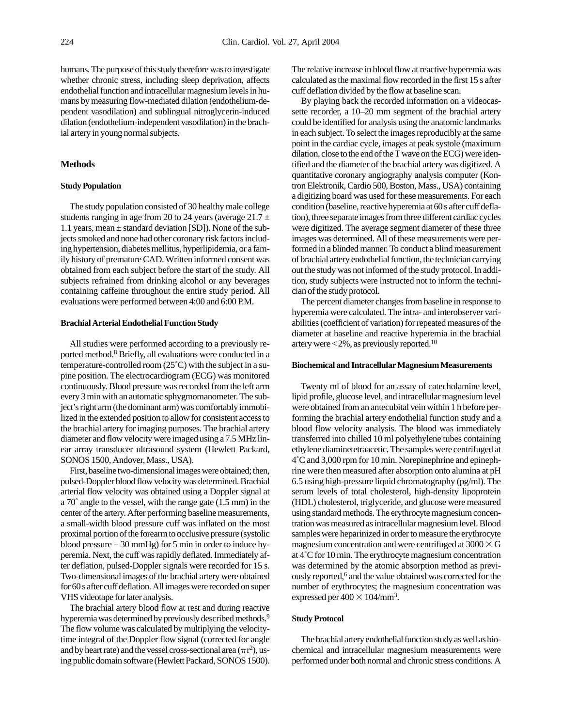humans. The purpose of this study therefore was to investigate whether chronic stress, including sleep deprivation, affects endothelial function and intracellular magnesium levels in humans by measuring flow-mediated dilation (endothelium-dependent vasodilation) and sublingual nitroglycerin-induced dilation (endothelium-independent vasodilation) in the brachial artery in young normal subjects.

## **Methods**

# **Study Population**

The study population consisted of 30 healthy male college students ranging in age from 20 to 24 years (average  $21.7 \pm$ 1.1 years, mean ± standard deviation [SD]). None of the subjects smoked and none had other coronary risk factors including hypertension, diabetes mellitus, hyperlipidemia, or a family history of premature CAD. Written informed consent was obtained from each subject before the start of the study. All subjects refrained from drinking alcohol or any beverages containing caffeine throughout the entire study period. All evaluations were performed between 4:00 and 6:00 P.M.

# **Brachial Arterial Endothelial Function Study**

All studies were performed according to a previously reported method.8 Briefly, all evaluations were conducted in a temperature-controlled room (25˚C) with the subject in a supine position. The electrocardiogram (ECG) was monitored continuously. Blood pressure was recorded from the left arm every 3 min with an automatic sphygmomanometer. The subject's right arm (the dominant arm) was comfortably immobilized in the extended position to allow for consistent access to the brachial artery for imaging purposes. The brachial artery diameter and flow velocity were imaged using a 7.5 MHz linear array transducer ultrasound system (Hewlett Packard, SONOS 1500, Andover, Mass., USA).

First, baseline two-dimensional images were obtained; then, pulsed-Doppler blood flow velocity was determined. Brachial arterial flow velocity was obtained using a Doppler signal at a 70˚ angle to the vessel, with the range gate (1.5 mm) in the center of the artery. After performing baseline measurements, a small-width blood pressure cuff was inflated on the most proximal portion of the forearm to occlusive pressure (systolic blood pressure  $+30$  mmHg) for 5 min in order to induce hyperemia. Next, the cuff was rapidly deflated. Immediately after deflation, pulsed-Doppler signals were recorded for 15 s. Two-dimensional images of the brachial artery were obtained for 60 s after cuff deflation. All images were recorded on super VHS videotape for later analysis.

The brachial artery blood flow at rest and during reactive hyperemia was determined by previously described methods.<sup>9</sup> The flow volume was calculated by multiplying the velocitytime integral of the Doppler flow signal (corrected for angle and by heart rate) and the vessel cross-sectional area  $(\pi r^2)$ , using public domain software (Hewlett Packard, SONOS 1500). The relative increase in blood flow at reactive hyperemia was calculated as the maximal flow recorded in the first 15 s after cuff deflation divided by the flow at baseline scan.

By playing back the recorded information on a videocassette recorder, a 10–20 mm segment of the brachial artery could be identified for analysis using the anatomic landmarks in each subject. To select the images reproducibly at the same point in the cardiac cycle, images at peak systole (maximum dilation, close to the end of the T wave on the ECG) were identified and the diameter of the brachial artery was digitized. A quantitative coronary angiography analysis computer (Kontron Elektronik, Cardio 500, Boston, Mass., USA) containing a digitizing board was used for these measurements. For each condition (baseline, reactive hyperemia at 60 s after cuff deflation), three separate images from three different cardiac cycles were digitized. The average segment diameter of these three images was determined. All of these measurements were performed in a blinded manner. To conduct a blind measurement of brachial artery endothelial function, the technician carrying out the study was not informed of the study protocol. In addition, study subjects were instructed not to inform the technician of the study protocol.

The percent diameter changes from baseline in response to hyperemia were calculated. The intra- and interobserver variabilities (coefficient of variation) for repeated measures of the diameter at baseline and reactive hyperemia in the brachial artery were  $<$  2%, as previously reported.<sup>10</sup>

#### **Biochemical and Intracellular Magnesium Measurements**

Twenty ml of blood for an assay of catecholamine level, lipid profile, glucose level, and intracellular magnesium level were obtained from an antecubital vein within 1 h before performing the brachial artery endothelial function study and a blood flow velocity analysis. The blood was immediately transferred into chilled 10 ml polyethylene tubes containing ethylene diaminetetraacetic. The samples were centrifuged at 4˚C and 3,000 rpm for 10 min. Norepinephrine and epinephrine were then measured after absorption onto alumina at pH 6.5 using high-pressure liquid chromatography (pg/ml). The serum levels of total cholesterol, high-density lipoprotein (HDL) cholesterol, triglyceride, and glucose were measured using standard methods. The erythrocyte magnesium concentration was measured as intracellular magnesium level. Blood samples were heparinized in order to measure the erythrocyte magnesium concentration and were centrifuged at  $3000 \times G$ at 4˚C for 10 min. The erythrocyte magnesium concentration was determined by the atomic absorption method as previously reported,<sup>6</sup> and the value obtained was corrected for the number of erythrocytes; the magnesium concentration was expressed per  $400 \times 104/\text{mm}^3$ .

## **Study Protocol**

The brachial artery endothelial function study as well as biochemical and intracellular magnesium measurements were performed under both normal and chronic stress conditions. A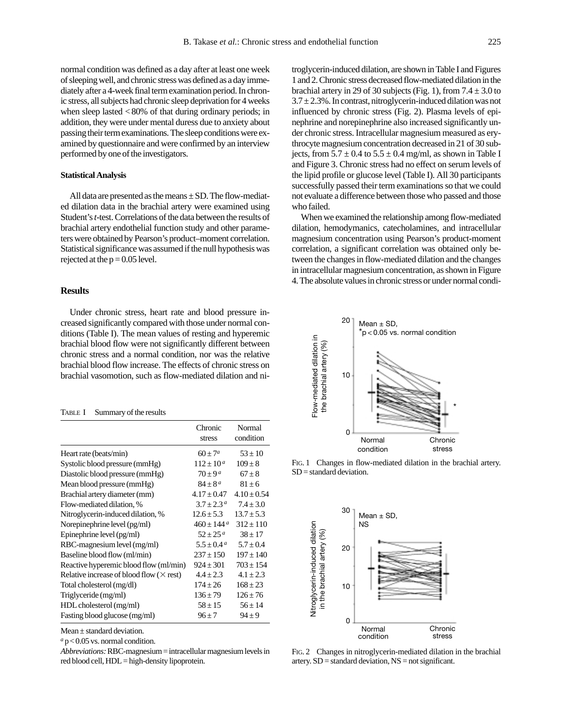normal condition was defined as a day after at least one week of sleeping well, and chronic stress was defined as a day immediately after a 4-week final term examination period. In chronic stress, all subjects had chronic sleep deprivation for 4 weeks when sleep lasted < 80% of that during ordinary periods; in addition, they were under mental duress due to anxiety about passing their term examinations. The sleep conditions were examined by questionnaire and were confirmed by an interview performed by one of the investigators.

#### **Statistical Analysis**

All data are presented as the means  $\pm$  SD. The flow-mediated dilation data in the brachial artery were examined using Student's *t*-test. Correlations of the data between the results of brachial artery endothelial function study and other parameters were obtained by Pearson's product–moment correlation. Statistical significance was assumed if the null hypothesis was rejected at the  $p = 0.05$  level.

## **Results**

Under chronic stress, heart rate and blood pressure increased significantly compared with those under normal conditions (Table I). The mean values of resting and hyperemic brachial blood flow were not significantly different between chronic stress and a normal condition, nor was the relative brachial blood flow increase. The effects of chronic stress on brachial vasomotion, such as flow-mediated dilation and ni-

# TABLE I Summary of the results

|                                                 | Chronic<br>stress          | Normal<br>condition |
|-------------------------------------------------|----------------------------|---------------------|
| Heart rate (beats/min)                          | $60 + 7^a$                 | $53 + 10$           |
| Systolic blood pressure (mmHg)                  | $112 \pm 10^{\circ}$       | $109 \pm 8$         |
| Diastolic blood pressure (mmHg)                 | $70 \pm 9a$                | $67 \pm 8$          |
| Mean blood pressure (mmHg)                      | $84 \pm 8^{\,a}$           | $81 + 6$            |
| Brachial artery diameter (mm)                   | $4.17 \pm 0.47$            | $4.10 \pm 0.54$     |
| Flow-mediated dilation, %                       | $3.7 + 2.3^{\circ}$        | $7.4 + 3.0$         |
| Nitroglycerin-induced dilation, %               | $12.6 \pm 5.3$             | $13.7 \pm 5.3$      |
| Norepinephrine level (pg/ml)                    | $460 \pm 144$ <sup>a</sup> | $312 + 110$         |
| Epinephrine level (pg/ml)                       | $52 \pm 25^{\,a}$          | $38 + 17$           |
| RBC-magnesium level (mg/ml)                     | $5.5 + 0.4^a$              | $5.7 + 0.4$         |
| Baseline blood flow (ml/min)                    | $237 \pm 150$              | $197 \pm 140$       |
| Reactive hyperemic blood flow (ml/min)          | $924 \pm 301$              | $703 \pm 154$       |
| Relative increase of blood flow $(\times$ rest) | $4.4 \pm 2.3$              | $4.1 \pm 2.3$       |
| Total cholesterol (mg/dl)                       | $174 \pm 26$               | $168 \pm 23$        |
| Triglyceride (mg/ml)                            | $136 \pm 79$               | $126 \pm 76$        |
| HDL cholesterol (mg/ml)                         | $58 \pm 15$                | $56 \pm 14$         |
| Fasting blood glucose (mg/ml)                   | $96 \pm 7$                 | $94 \pm 9$          |

Mean ± standard deviation.

 $a$  p < 0.05 vs. normal condition.

*Abbreviations:*RBC-magnesium = intracellular magnesium levels in red blood cell, HDL = high-density lipoprotein.

troglycerin-induced dilation, are shown in Table I and Figures 1 and 2. Chronic stress decreased flow-mediated dilation in the brachial artery in 29 of 30 subjects (Fig. 1), from  $7.4 \pm 3.0$  to  $3.7 \pm 2.3$ %. In contrast, nitroglycerin-induced dilation was not influenced by chronic stress (Fig. 2). Plasma levels of epinephrine and norepinephrine also increased significantly under chronic stress. Intracellular magnesium measured as erythrocyte magnesium concentration decreased in 21 of 30 subjects, from  $5.7 \pm 0.4$  to  $5.5 \pm 0.4$  mg/ml, as shown in Table I and Figure 3. Chronic stress had no effect on serum levels of the lipid profile or glucose level (Table I). All 30 participants successfully passed their term examinations so that we could not evaluate a difference between those who passed and those who failed.

When we examined the relationship among flow-mediated dilation, hemodymanics, catecholamines, and intracellular magnesium concentration using Pearson's product-moment correlation, a significant correlation was obtained only between the changes in flow-mediated dilation and the changes in intracellular magnesium concentration, as shown in Figure 4. The absolute values in chronic stress or under normal condi-



FIG. 1 Changes in flow-mediated dilation in the brachial artery. SD = standard deviation.



FIG. 2 Changes in nitroglycerin-mediated dilation in the brachial artery.  $SD =$  standard deviation,  $NS =$  not significant.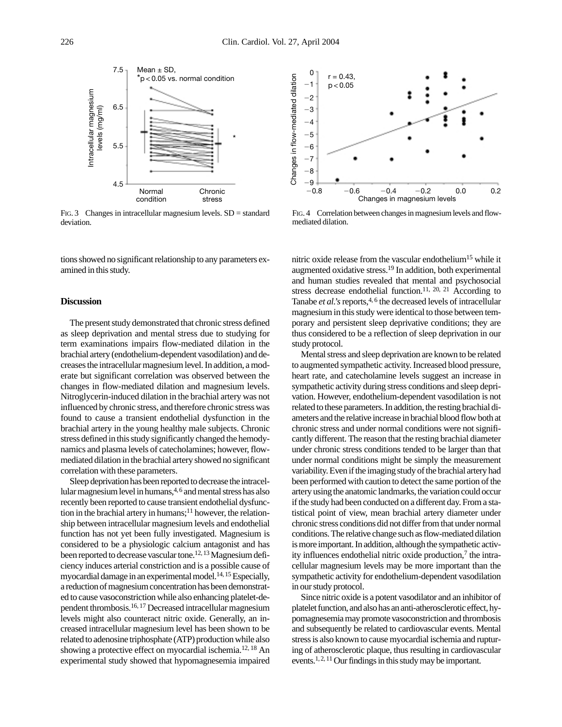

FIG. 3 Changes in intracellular magnesium levels.  $SD = standard$ deviation.

tions showed no significant relationship to any parameters examined in this study.

# **Discussion**

The present study demonstrated that chronic stress defined as sleep deprivation and mental stress due to studying for term examinations impairs flow-mediated dilation in the brachial artery (endothelium-dependent vasodilation) and decreases the intracellular magnesium level. In addition, a moderate but significant correlation was observed between the changes in flow-mediated dilation and magnesium levels. Nitroglycerin-induced dilation in the brachial artery was not influenced by chronic stress, and therefore chronic stress was found to cause a transient endothelial dysfunction in the brachial artery in the young healthy male subjects. Chronic stress defined in this study significantly changed the hemodynamics and plasma levels of catecholamines; however, flowmediated dilation in the brachial artery showed no significant correlation with these parameters.

Sleep deprivation has been reported to decrease the intracellular magnesium level in humans,  $4, 6$  and mental stress has also recently been reported to cause transient endothelial dysfunction in the brachial artery in humans;<sup>11</sup> however, the relationship between intracellular magnesium levels and endothelial function has not yet been fully investigated. Magnesium is considered to be a physiologic calcium antagonist and has been reported to decrease vascular tone.<sup>12, 13</sup> Magnesium deficiency induces arterial constriction and is a possible cause of myocardial damage in an experimental model.<sup>14, 15</sup> Especially, a reduction of magnesium concentration has been demonstrated to cause vasoconstriction while also enhancing platelet-dependent thrombosis.16, 17 Decreased intracellular magnesium levels might also counteract nitric oxide. Generally, an increased intracellular magnesium level has been shown to be related to adenosine triphosphate (ATP) production while also showing a protective effect on myocardial ischemia.12, 18 An experimental study showed that hypomagnesemia impaired



FIG. 4 Correlation between changes in magnesium levels and flowmediated dilation.

nitric oxide release from the vascular endothelium<sup>15</sup> while it augmented oxidative stress.19 In addition, both experimental and human studies revealed that mental and psychosocial stress decrease endothelial function.<sup>11, 20, 21</sup> According to Tanabe *et al.*'s reports,<sup>4, 6</sup> the decreased levels of intracellular magnesium in this study were identical to those between temporary and persistent sleep deprivative conditions; they are thus considered to be a reflection of sleep deprivation in our study protocol.

Mental stress and sleep deprivation are known to be related to augmented sympathetic activity. Increased blood pressure, heart rate, and catecholamine levels suggest an increase in sympathetic activity during stress conditions and sleep deprivation. However, endothelium-dependent vasodilation is not related to these parameters. In addition, the resting brachial diameters and the relative increase in brachial blood flow both at chronic stress and under normal conditions were not significantly different. The reason that the resting brachial diameter under chronic stress conditions tended to be larger than that under normal conditions might be simply the measurement variability. Even if the imaging study of the brachial artery had been performed with caution to detect the same portion of the artery using the anatomic landmarks, the variation could occur if the study had been conducted on a different day. From a statistical point of view, mean brachial artery diameter under chronic stress conditions did not differ from that under normal conditions. The relative change such as flow-mediated dilation is more important. In addition, although the sympathetic activity influences endothelial nitric oxide production, $\frac{7}{1}$  the intracellular magnesium levels may be more important than the sympathetic activity for endothelium-dependent vasodilation in our study protocol.

Since nitric oxide is a potent vasodilator and an inhibitor of platelet function, and also has an anti-atherosclerotic effect, hypomagnesemia may promote vasoconstriction and thrombosis and subsequently be related to cardiovascular events. Mental stress is also known to cause myocardial ischemia and rupturing of atherosclerotic plaque, thus resulting in cardiovascular events.1, 2, 11 Our findings in this study may be important.